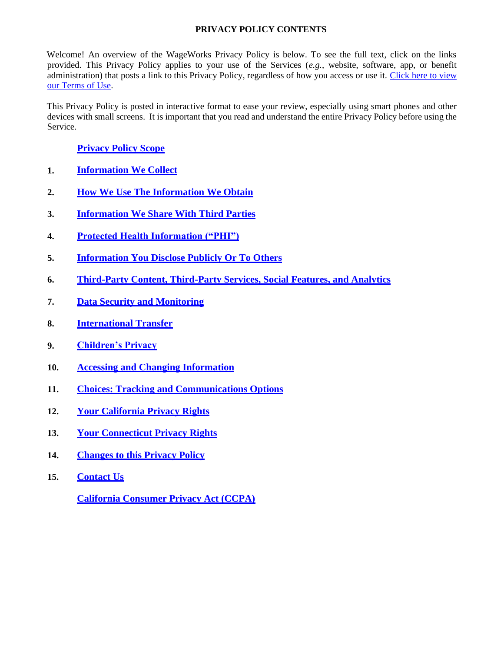# <span id="page-0-0"></span>**PRIVACY POLICY CONTENTS**

Welcome! An overview of the WageWorks Privacy Policy is below. To see the full text, click on the links provided. This Privacy Policy applies to your use of the Services (*e.g.*, website, software, app, or benefit administration) that posts a link to this Privacy Policy, regardless of how you access or use it. [Click here to](https://www.wageworks.com/terms-of-use/) [view](https://www.wageworks.com/terms-of-use/) [our Terms of Use.](https://www.wageworks.com/terms-of-use/)

This Privacy Policy is posted in interactive format to ease your review, especially using smart phones and other devices with small screens. It is important that you read and understand the entire Privacy Policy before using the Service.

# **Privacy Policy Scope**

- **1. [Information We Collect](#page-2-0)**
- **2. [How We Use The Information We Obtain](#page-4-0)**
- **3. [Information We Share With Third Parties](#page-5-0)**
- **4. [Protected Health Information \("PHI"\)](#page-6-0)**
- **5. [Information You Disclose Publicly Or To Others](#page-6-1)**
- **6. [Third-Party Content, Third-Party Services, Social Features, and Analytics](#page-7-0)**
- **7. [Data Security and Monitoring](#page-7-1)**
- **8. [International Transfer](#page-8-0)**
- **9. [Children's Privacy](#page-8-1)**
- **10. [Accessing and Changing Information](#page-8-2)**
- **11. [Choices: Tracking and Communications Options](#page-8-3)**
- **12. [Your California Privacy Rights](#page-10-0)**
- **13. [Your Connecticut Privacy Rights](#page-10-1)**
- **14. [Changes to this Privacy Policy](#page-11-0)**
- **15. [Contact Us](#page-11-1)**

**[California Consumer Privacy Act \(CCPA\)](#page-12-0)**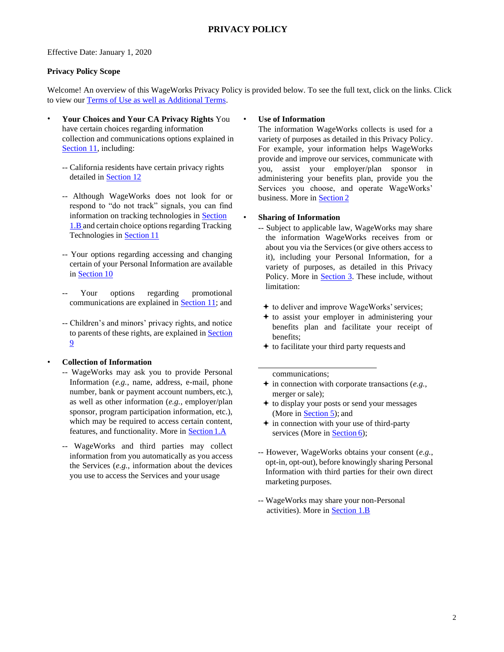## Effective Date: January 1, 2020

## **Privacy Policy Scope**

Welcome! An overview of this WageWorks Privacy Policy is provided below. To see the full text, click on the links. Click to view our [Terms of Use as well as Additional Terms.](https://www.wageworks.com/terms-of-use/)

- **Your Choices and Your CA Privacy Rights** You have certain choices regarding information collection and communications options explained in Section 11, including:
	- -- California residents have certain privacy rights detailed in Section 12
	- -- Although WageWorks does not look for or respond to "do not track" signals, you can find information on tracking technologies in Section 1.B and certain choice options regarding Tracking Technologies in Section 11
	- -- Your options regarding accessing and changing certain of your Personal Information are available in Section 10
	- Your options regarding promotional communications are explained in **Section 11**; and  $\leftrightarrow$  to deliver and improve WageWorks' services;
	- -- Children's and minors' privacy rights, and notice to parents of these rights, are explained in Section 9

• **Collection of Information**

- -- WageWorks may ask you to provide Personal Information (*e.g.*, name, address, e-mail, phone number, bank or payment account numbers, etc.), as well as other information (*e.g.*, employer/plan sponsor, program participation information, etc.), which may be required to access certain content, features, and functionality. More in Section 1.A
- -- WageWorks and third parties may collect information from you automatically as you access the Services (*e.g.*, information about the devices you use to access the Services and your usage

## • **Use of Information**

The information WageWorks collects is used for a variety of purposes as detailed in this Privacy Policy. For example, your information helps WageWorks provide and improve our services, communicate with you, assist your employer/plan sponsor in administering your benefits plan, provide you the Services you choose, and operate WageWorks' business. More in Section 2

## • **Sharing of Information**

- -- Subject to applicable law, WageWorks may share the information WageWorks receives from or about you via the Services (or give others access to it), including your Personal Information, for a variety of purposes, as detailed in this Privacy Policy. More in Section 3. These include, without limitation:
	-
	- $\triangle$  to assist your employer in administering your benefits plan and facilitate your receipt of benefits;
	- $\triangle$  to facilitate your third party requests and

communications;

- in connection with corporate transactions (*e.g.*, merger or sale);
- to display your posts or send your messages (More in Section 5); and
- $\div$  in connection with your use of third-party services (More in Section 6);
- -- However, WageWorks obtains your consent (*e.g.*, opt-in, opt-out), before knowingly sharing Personal Information with third parties for their own direct marketing purposes.
- -- WageWorks may share your non-Personal activities). More in Section 1.B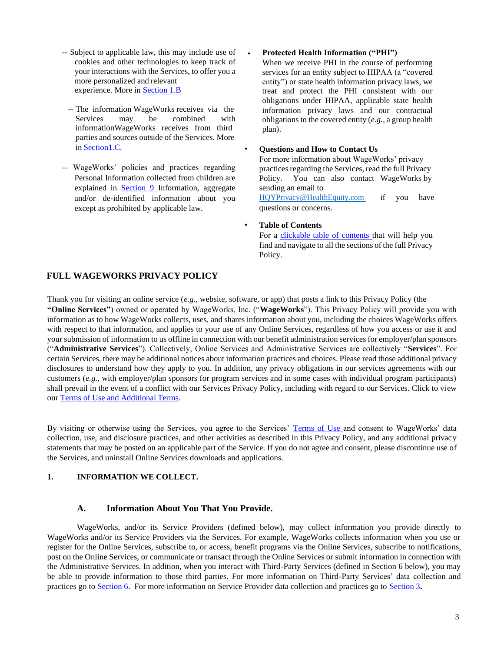- -- Subject to applicable law, this may include use of cookies and other technologies to keep track of your interactions with the Services, to offer you a more personalized and relevant experience. More in Section 1.B
	- -- The information WageWorks receives via the Services may be combined with informationWageWorks receives from third parties and sources outside of the Services. More in Section1.C. • **Questions and How to Contact Us**
- -- WageWorks' policies and practices regarding practices regarding the Services, read the full Privacy Personal Information collected from children are explained in Section 9 Information, aggregate and/or de-identified information about you except as prohibited by applicable law.

#### • **Protected Health Information ("PHI")**

When we receive PHI in the course of performing services for an entity subject to HIPAA (a "covered entity") or state health information privacy laws, we treat and protect the PHI consistent with our obligations under HIPAA, applicable state health information privacy laws and our contractual obligations to the covered entity (*e.g.*, a group health plan).

For more information about WageWorks' privacy Policy. You can also contact WageWorks by sending an email to

[HQYPrivacy@HealthEquity.com](mailto:HQYPrivacy@healthequity.com) questions or concerns. if you have

#### • **Table of Contents**

For a clickable table of contents that will help you find and navigate to all the sections of the full Privacy Policy.

## **FULL WAGEWORKS PRIVACY POLICY**

Thank you for visiting an online service (*e.g.*, website, software, or app) that posts a link to this Privacy Policy (the **"Online Services"**) owned or operated by WageWorks, Inc. ("**WageWorks**"). This Privacy Policy will provide you with information as to how WageWorks collects, uses, and shares information about you, including the choices WageWorks offers with respect to that information, and applies to your use of any Online Services, regardless of how you access or use it and your submission of information to us offline in connection with our benefit administration servicesfor employer/plan sponsors ("**Administrative Services**"). Collectively, Online Services and Administrative Services are collectively "**Services**". For certain Services, there may be additional notices about information practices and choices. Please read those additional privacy disclosures to understand how they apply to you. In addition, any privacy obligations in our services agreements with our customers (*e.g.*, with employer/plan sponsors for program services and in some cases with individual program participants) shall prevail in the event of a conflict with our Services Privacy Policy, including with regard to our Services. Click to view our [Terms of Use and Additional](https://www.wageworks.com/terms-of-use/) Terms.

By visiting or otherwise using the Services, you agree to the Services' [Terms of Use](https://www.wageworks.com/terms-of-use/) and consent to WageWorks' data collection, use, and disclosure practices, and other activities as described in this Privacy Policy, and any additional privacy statements that may be posted on an applicable part of the Service. If you do not agree and consent, please discontinue use of the Services, and uninstall Online Services downloads and applications.

## <span id="page-2-0"></span>**1. INFORMATION WE COLLECT.**

## **A. Information About You That You Provide.**

WageWorks, and/or its Service Providers (defined below), may collect information you provide directly to WageWorks and/or its Service Providers via the Services. For example, WageWorks collects information when you use or register for the Online Services, subscribe to, or access, benefit programs via the Online Services, subscribe to notifications, post on the Online Services, or communicate or transact through the Online Services or submit information in connection with the Administrative Services. In addition, when you interact with Third-Party Services (defined in Section 6 below), you may be able to provide information to those third parties. For more information on Third-Party Services' data collection and practices go to Section 6. For more information on Service Provider data collection and practices go to Section 3**.**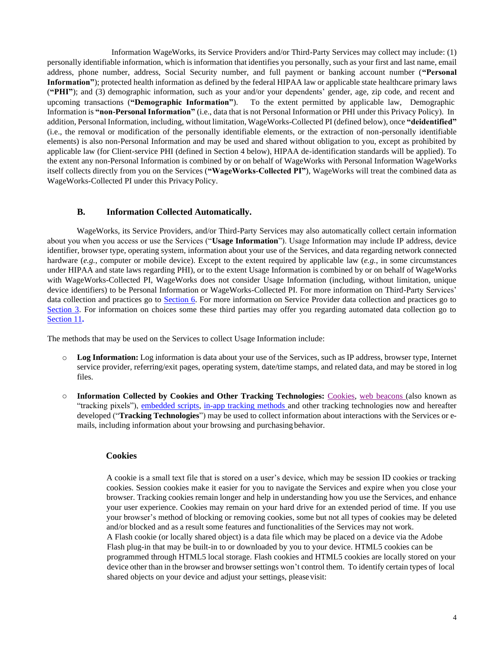Information WageWorks, its Service Providers and/or Third-Party Services may collect may include: (1) personally identifiable information, which is information that identifies you personally, such as your first and last name, email address, phone number, address, Social Security number, and full payment or banking account number (**"Personal Information"**); protected health information as defined by the federal HIPAA law or applicable state healthcare primary laws (**"PHI"**); and (3) demographic information, such as your and/or your dependents' gender, age, zip code, and recent and upcoming transactions (**"Demographic Information"**). To the extent permitted by applicable law, Demographic Information is **"non-Personal Information"** (i.e., data that is not Personal Information or PHI under this Privacy Policy). In addition, Personal Information, including, without limitation, WageWorks-Collected PI (defined below), once **"deidentified"**  (i.e., the removal or modification of the personally identifiable elements, or the extraction of non-personally identifiable elements) is also non-Personal Information and may be used and shared without obligation to you, except as prohibited by applicable law (for Client-service PHI (defined in Section 4 below), HIPAA de-identification standards will be applied). To the extent any non-Personal Information is combined by or on behalf of WageWorks with Personal Information WageWorks itself collects directly from you on the Services (**"WageWorks-Collected PI"**), WageWorks will treat the combined data as WageWorks-Collected PI under this PrivacyPolicy.

## **B. Information Collected Automatically.**

WageWorks, its Service Providers, and/or Third-Party Services may also automatically collect certain information about you when you access or use the Services ("**Usage Information**"). Usage Information may include IP address, device identifier, browser type, operating system, information about your use of the Services, and data regarding network connected hardware (*e.g.*, computer or mobile device). Except to the extent required by applicable law (*e.g.*, in some circumstances under HIPAA and state laws regarding PHI), or to the extent Usage Information is combined by or on behalf of WageWorks with WageWorks-Collected PI, WageWorks does not consider Usage Information (including, without limitation, unique device identifiers) to be Personal Information or WageWorks-Collected PI. For more information on Third-Party Services' data collection and practices go to Section 6. For more information on Service Provider data collection and practices go to Section 3. For information on choices some these third parties may offer you regarding automated data collection go to Section 11**.**

The methods that may be used on the Services to collect Usage Information include:

- **Log Information:** Log information is data about your use of the Services, such as IP address, browser type, Internet o service provider, referring/exit pages, operating system, date/time stamps, and related data, and may be stored in log files.
- **Information Collected by Cookies and Other Tracking Technologies:** Cookies, web beacons (also known as "tracking pixels"), embedded scripts, in-app tracking methods and other tracking technologies now and hereafter developed ("**Tracking Technologies**") may be used to collect information about interactions with the Services or emails, including information about your browsing and purchasing behavior. o

## **Cookies**

A cookie is a small text file that is stored on a user's device, which may be session ID cookies or tracking cookies. Session cookies make it easier for you to navigate the Services and expire when you close your browser. Tracking cookies remain longer and help in understanding how you use the Services, and enhance your user experience. Cookies may remain on your hard drive for an extended period of time. If you use your browser's method of blocking or removing cookies, some but not all types of cookies may be deleted and/or blocked and as a result some features and functionalities of the Services may not work. A Flash cookie (or locally shared object) is a data file which may be placed on a device via the Adobe Flash plug-in that may be built-in to or downloaded by you to your device. HTML5 cookies can be programmed through HTML5 local storage. Flash cookies and HTML5 cookies are locally stored on your device other than in the browser and browser settings won't control them. To identify certain types of local shared objects on your device and adjust your settings, please visit: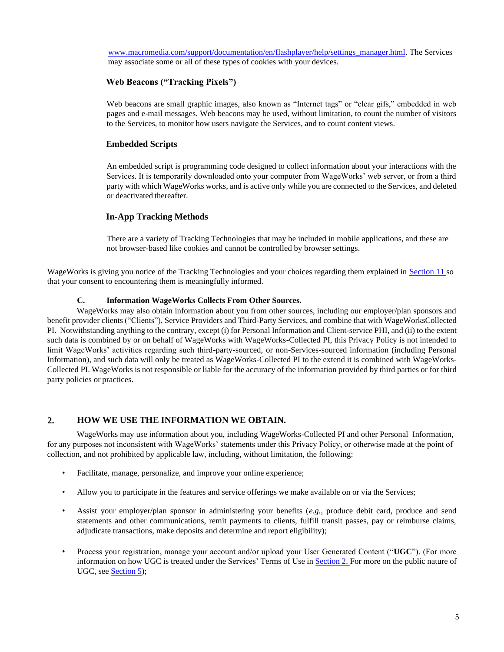[www.macromedia.com/support/documentation/en/flashplayer/help/settings\\_manager.html.](http://www.macromedia.com/support/documentation/en/flashplayer/help/settings_manager.html) The Services may associate some or all of these types of cookies with your devices.

# **Web Beacons ("Tracking Pixels")**

Web beacons are small graphic images, also known as "Internet tags" or "clear gifs," embedded in web pages and e-mail messages. Web beacons may be used, without limitation, to count the number of visitors to the Services, to monitor how users navigate the Services, and to count content views.

# **Embedded Scripts**

An embedded script is programming code designed to collect information about your interactions with the Services. It is temporarily downloaded onto your computer from WageWorks' web server, or from a third party with which WageWorks works, and is active only while you are connected to the Services, and deleted or deactivated thereafter.

## **In-App Tracking Methods**

There are a variety of Tracking Technologies that may be included in mobile applications, and these are not browser-based like cookies and cannot be controlled by browser settings.

WageWorks is giving you notice of the Tracking Technologies and your choices regarding them explained in Section 11 so that your consent to encountering them is meaningfully informed.

## **C. Information WageWorks Collects From Other Sources.**

WageWorks may also obtain information about you from other sources, including our employer/plan sponsors and benefit provider clients ("Clients"), Service Providers and Third-Party Services, and combine that with WageWorksCollected PI. Notwithstanding anything to the contrary, except (i) for Personal Information and Client-service PHI, and (ii) to the extent such data is combined by or on behalf of WageWorks with WageWorks-Collected PI, this Privacy Policy is not intended to limit WageWorks' activities regarding such third-party-sourced, or non-Services-sourced information (including Personal Information), and such data will only be treated as WageWorks-Collected PI to the extend it is combined with WageWorks-Collected PI. WageWorks is not responsible or liable for the accuracy of the information provided by third parties or for third party policies or practices.

# <span id="page-4-0"></span>**2. HOW WE USE THE INFORMATION WE OBTAIN.**

WageWorks may use information about you, including WageWorks-Collected PI and other Personal Information, for any purposes not inconsistent with WageWorks' statements under this Privacy Policy, or otherwise made at the point of collection, and not prohibited by applicable law, including, without limitation, the following:

- Facilitate, manage, personalize, and improve your online experience;
- Allow you to participate in the features and service offerings we make available on or via the Services;
- Assist your employer/plan sponsor in administering your benefits (*e.g.*, produce debit card, produce and send statements and other communications, remit payments to clients, fulfill transit passes, pay or reimburse claims, adjudicate transactions, make deposits and determine and report eligibility);
- Process your registration, manage your account and/or upload your User Generated Content ("**UGC**"). (For more information on how UGC is treated under the Services' Terms of Use in Section 2. For more on the public nature of UGC, see Section 5);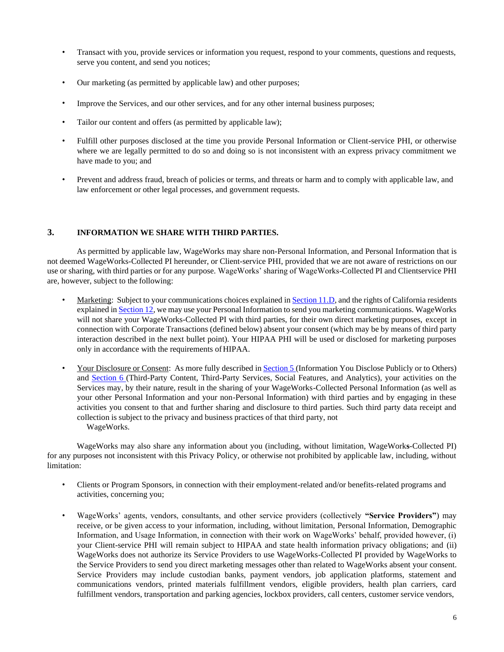- Transact with you, provide services or information you request, respond to your comments, questions and requests, serve you content, and send you notices;
- Our marketing (as permitted by applicable law) and other purposes;
- Improve the Services, and our other services, and for any other internal business purposes;
- Tailor our content and offers (as permitted by applicable law);
- Fulfill other purposes disclosed at the time you provide Personal Information or Client-service PHI, or otherwise where we are legally permitted to do so and doing so is not inconsistent with an express privacy commitment we have made to you; and
- Prevent and address fraud, breach of policies or terms, and threats or harm and to comply with applicable law, and law enforcement or other legal processes, and government requests.

## <span id="page-5-0"></span>**3. INFORMATION WE SHARE WITH THIRD PARTIES.**

As permitted by applicable law, WageWorks may share non-Personal Information, and Personal Information that is not deemed WageWorks-Collected PI hereunder, or Client-service PHI, provided that we are not aware of restrictions on our use or sharing, with third parties or for any purpose. WageWorks' sharing of WageWorks-Collected PI and Clientservice PHI are, however, subject to the following:

- Marketing: Subject to your communications choices explained in Section 11.D, and the rights of California residents explained in Section 12, we may use your Personal Information to send you marketing communications. WageWorks will not share your WageWorks-Collected PI with third parties, for their own direct marketing purposes, except in connection with Corporate Transactions (defined below) absent your consent (which may be by means of third party interaction described in the next bullet point). Your HIPAA PHI will be used or disclosed for marketing purposes only in accordance with the requirements of HIPAA.
- Your Disclosure or Consent: As more fully described in **Section 5** (Information You Disclose Publicly or to Others) and Section 6 (Third-Party Content, Third-Party Services, Social Features, and Analytics), your activities on the Services may, by their nature, result in the sharing of your WageWorks-Collected Personal Information (as well as your other Personal Information and your non-Personal Information) with third parties and by engaging in these activities you consent to that and further sharing and disclosure to third parties. Such third party data receipt and collection is subject to the privacy and business practices of that third party, not WageWorks.

WageWorks may also share any information about you (including, without limitation, WageWork**s**-Collected PI) for any purposes not inconsistent with this Privacy Policy, or otherwise not prohibited by applicable law, including, without limitation:

- Clients or Program Sponsors, in connection with their employment-related and/or benefits-related programs and activities, concerning you;
- WageWorks' agents, vendors, consultants, and other service providers (collectively **"Service Providers"**) may receive, or be given access to your information, including, without limitation, Personal Information, Demographic Information, and Usage Information, in connection with their work on WageWorks' behalf, provided however, (i) your Client-service PHI will remain subject to HIPAA and state health information privacy obligations; and (ii) WageWorks does not authorize its Service Providers to use WageWorks-Collected PI provided by WageWorks to the Service Providers to send you direct marketing messages other than related to WageWorks absent your consent. Service Providers may include custodian banks, payment vendors, job application platforms, statement and communications vendors, printed materials fulfillment vendors, eligible providers, health plan carriers, card fulfillment vendors, transportation and parking agencies, lockbox providers, call centers, customer service vendors,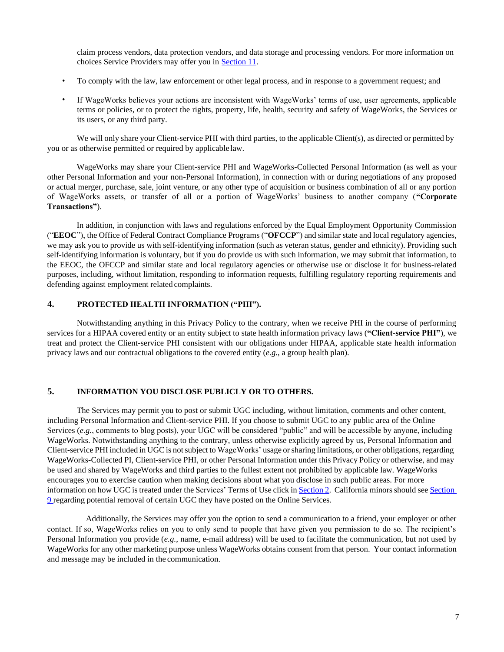claim process vendors, data protection vendors, and data storage and processing vendors. For more information on choices Service Providers may offer you in Section 11.

- To comply with the law, law enforcement or other legal process, and in response to a government request; and
- If WageWorks believes your actions are inconsistent with WageWorks' terms of use, user agreements, applicable terms or policies, or to protect the rights, property, life, health, security and safety of WageWorks, the Services or its users, or any third party.

We will only share your Client-service PHI with third parties, to the applicable Client(s), as directed or permitted by you or as otherwise permitted or required by applicable law.

WageWorks may share your Client-service PHI and WageWorks-Collected Personal Information (as well as your other Personal Information and your non-Personal Information), in connection with or during negotiations of any proposed or actual merger, purchase, sale, joint venture, or any other type of acquisition or business combination of all or any portion of WageWorks assets, or transfer of all or a portion of WageWorks' business to another company (**"Corporate Transactions"**).

In addition, in conjunction with laws and regulations enforced by the Equal Employment Opportunity Commission ("**EEOC**"), the Office of Federal Contract Compliance Programs ("**OFCCP**") and similar state and local regulatory agencies, we may ask you to provide us with self-identifying information (such as veteran status, gender and ethnicity). Providing such self-identifying information is voluntary, but if you do provide us with such information, we may submit that information, to the EEOC, the OFCCP and similar state and local regulatory agencies or otherwise use or disclose it for business-related purposes, including, without limitation, responding to information requests, fulfilling regulatory reporting requirements and defending against employment related complaints.

## <span id="page-6-0"></span>**4. PROTECTED HEALTH INFORMATION ("PHI").**

Notwithstanding anything in this Privacy Policy to the contrary, when we receive PHI in the course of performing services for a HIPAA covered entity or an entity subject to state health information privacy laws (**"Client-service PHI"**), we treat and protect the Client-service PHI consistent with our obligations under HIPAA, applicable state health information privacy laws and our contractual obligations to the covered entity (*e.g.*, a group health plan).

## <span id="page-6-1"></span>**5. INFORMATION YOU DISCLOSE PUBLICLY OR TO OTHERS.**

The Services may permit you to post or submit UGC including, without limitation, comments and other content, including Personal Information and Client-service PHI. If you choose to submit UGC to any public area of the Online Services (*e.g.*, comments to blog posts), your UGC will be considered "public" and will be accessible by anyone, including WageWorks. Notwithstanding anything to the contrary, unless otherwise explicitly agreed by us, Personal Information and Client-service PHI included in UGCis notsubject to WageWorks' usage orsharing limitations, or other obligations, regarding WageWorks-Collected PI, Client-service PHI, or other Personal Information under this Privacy Policy or otherwise, and may be used and shared by WageWorks and third parties to the fullest extent not prohibited by applicable law. WageWorks encourages you to exercise caution when making decisions about what you disclose in such public areas. For more information on how UGC istreated under the Services' Terms of Use click in Section 2. California minorsshould see Section 9 regarding potential removal of certain UGC they have posted on the Online Services.

Additionally, the Services may offer you the option to send a communication to a friend, your employer or other contact. If so, WageWorks relies on you to only send to people that have given you permission to do so. The recipient's Personal Information you provide (*e.g.*, name, e-mail address) will be used to facilitate the communication, but not used by WageWorks for any other marketing purpose unless WageWorks obtains consent from that person. Your contact information and message may be included in the communication.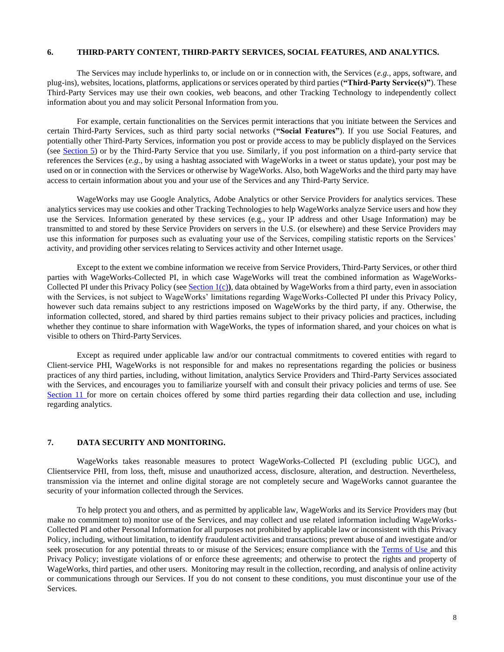## <span id="page-7-0"></span>**6. THIRD**-**PARTY CONTENT, THIRD**-**PARTY SERVICES, SOCIAL FEATURES, AND ANALYTICS.**

The Services may include hyperlinks to, or include on or in connection with, the Services (*e.g.*, apps, software, and plug-ins), websites, locations, platforms, applications or services operated by third parties (**"Third**-**Party Service(s)"**). These Third-Party Services may use their own cookies, web beacons, and other Tracking Technology to independently collect information about you and may solicit Personal Information fromyou.

For example, certain functionalities on the Services permit interactions that you initiate between the Services and certain Third-Party Services, such as third party social networks (**"Social Features"**). If you use Social Features, and potentially other Third-Party Services, information you post or provide access to may be publicly displayed on the Services (see Section 5) or by the Third-Party Service that you use. Similarly, if you post information on a third-party service that references the Services (*e.g.*, by using a hashtag associated with WageWorks in a tweet or status update), your post may be used on or in connection with the Services or otherwise by WageWorks. Also, both WageWorks and the third party may have access to certain information about you and your use of the Services and any Third-Party Service.

WageWorks may use Google Analytics, Adobe Analytics or other Service Providers for analytics services. These analytics services may use cookies and other Tracking Technologies to help WageWorks analyze Service users and how they use the Services. Information generated by these services (e.g., your IP address and other Usage Information) may be transmitted to and stored by these Service Providers on servers in the U.S. (or elsewhere) and these Service Providers may use this information for purposes such as evaluating your use of the Services, compiling statistic reports on the Services' activity, and providing other services relating to Services activity and other Internet usage.

Except to the extent we combine information we receive from Service Providers, Third-Party Services, or other third parties with WageWorks-Collected PI, in which case WageWorks will treat the combined information as WageWorks-Collected PI under this Privacy Policy (see Section 1(c)**)**, data obtained by WageWorks from a third party, even in association with the Services, is not subject to WageWorks' limitations regarding WageWorks-Collected PI under this Privacy Policy, however such data remains subject to any restrictions imposed on WageWorks by the third party, if any. Otherwise, the information collected, stored, and shared by third parties remains subject to their privacy policies and practices, including whether they continue to share information with WageWorks, the types of information shared, and your choices on what is visible to others on Third-Party Services.

Except as required under applicable law and/or our contractual commitments to covered entities with regard to Client-service PHI, WageWorks is not responsible for and makes no representations regarding the policies or business practices of any third parties, including, without limitation, analytics Service Providers and Third-Party Services associated with the Services, and encourages you to familiarize yourself with and consult their privacy policies and terms of use. See Section 11 for more on certain choices offered by some third parties regarding their data collection and use, including regarding analytics.

## <span id="page-7-1"></span>**7. DATA SECURITY AND MONITORING.**

WageWorks takes reasonable measures to protect WageWorks-Collected PI (excluding public UGC), and Clientservice PHI, from loss, theft, misuse and unauthorized access, disclosure, alteration, and destruction. Nevertheless, transmission via the internet and online digital storage are not completely secure and WageWorks cannot guarantee the security of your information collected through the Services.

To help protect you and others, and as permitted by applicable law, WageWorks and its Service Providers may (but make no commitment to) monitor use of the Services, and may collect and use related information including WageWorks-Collected PI and other Personal Information for all purposes not prohibited by applicable law or inconsistent with this Privacy Policy, including, without limitation, to identify fraudulent activities and transactions; prevent abuse of and investigate and/or seek prosecution for any potential threats to or misuse of the Services; ensure compliance with the [Terms of Use](https://www.wageworks.com/terms-of-use) [and this](https://www.wageworks.com/terms-of-use/) [Privacy](https://www.wageworks.com/terms-of-use/) Policy; investigate violations of or enforce these agreements; and otherwise to protect the rights and property of WageWorks, third parties, and other users. Monitoring may result in the collection, recording, and analysis of online activity or communications through our Services. If you do not consent to these conditions, you must discontinue your use of the Services.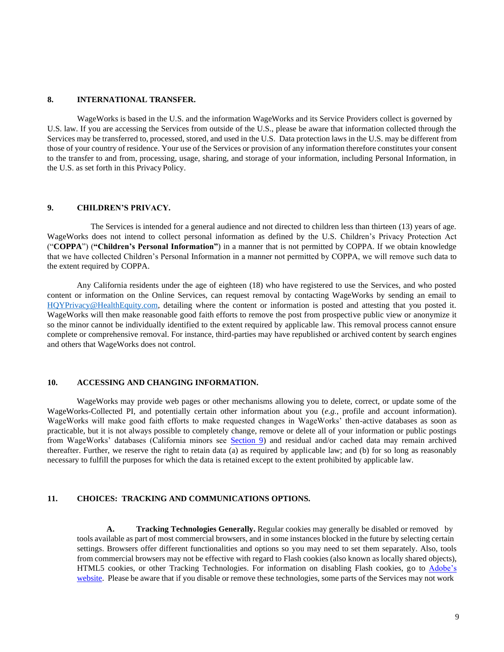## <span id="page-8-0"></span>**8. INTERNATIONAL TRANSFER.**

WageWorks is based in the U.S. and the information WageWorks and its Service Providers collect is governed by U.S. law. If you are accessing the Services from outside of the U.S., please be aware that information collected through the Services may be transferred to, processed, stored, and used in the U.S. Data protection laws in the U.S. may be different from those of your country of residence. Your use of the Services or provision of any information therefore constitutes your consent to the transfer to and from, processing, usage, sharing, and storage of your information, including Personal Information, in the U.S. as set forth in this Privacy Policy.

## <span id="page-8-1"></span>**9. CHILDREN'S PRIVACY.**

The Services is intended for a general audience and not directed to children less than thirteen (13) years of age. WageWorks does not intend to collect personal information as defined by the U.S. Children's Privacy Protection Act ("**COPPA**") (**"Children's Personal Information"**) in a manner that is not permitted by COPPA. If we obtain knowledge that we have collected Children's Personal Information in a manner not permitted by COPPA, we will remove such data to the extent required by COPPA.

Any California residents under the age of eighteen (18) who have registered to use the Services, and who posted content or information on the Online Services, can request removal by contacting WageWorks by sending an email to [HQYPrivacy@HealthEquity.com,](mailto:HQYPrivacy@healthequity.com) detailing where the content or information is posted and attesting that you posted it. WageWorks will then make reasonable good faith efforts to remove the post from prospective public view or anonymize it so the minor cannot be individually identified to the extent required by applicable law. This removal process cannot ensure complete or comprehensive removal. For instance, third-parties may have republished or archived content by search engines and others that WageWorks does not control.

## <span id="page-8-2"></span>**10. ACCESSING AND CHANGING INFORMATION.**

WageWorks may provide web pages or other mechanisms allowing you to delete, correct, or update some of the WageWorks-Collected PI, and potentially certain other information about you (*e.g.*, profile and account information). WageWorks will make good faith efforts to make requested changes in WageWorks' then-active databases as soon as practicable, but it is not always possible to completely change, remove or delete all of your information or public postings from WageWorks' databases (California minors see Section 9) and residual and/or cached data may remain archived thereafter. Further, we reserve the right to retain data (a) as required by applicable law; and (b) for so long as reasonably necessary to fulfill the purposes for which the data is retained except to the extent prohibited by applicable law.

## <span id="page-8-3"></span>**11. CHOICES: TRACKING AND COMMUNICATIONS OPTIONS.**

**A. Tracking Technologies Generally.** Regular cookies may generally be disabled or removed by tools available as part of most commercial browsers, and in some instances blocked in the future by selecting certain settings. Browsers offer different functionalities and options so you may need to set them separately. Also, tools from commercial browsers may not be effective with regard to Flash cookies (also known as locally shared objects), HTML5 cookies, or other Tracking Technologies. For information on disabling Flash cookies, go [to](http://helpx.adobe.com/flash-player/kb/disable-third-party-local-shared.html) [Adobe's](http://helpx.adobe.com/flash-player/kb/disable-third-party-local-shared.html) [website.](http://helpx.adobe.com/flash-player/kb/disable-third-party-local-shared.html) Please be aware that if you disable or remove these technologies, some parts of the Services may not work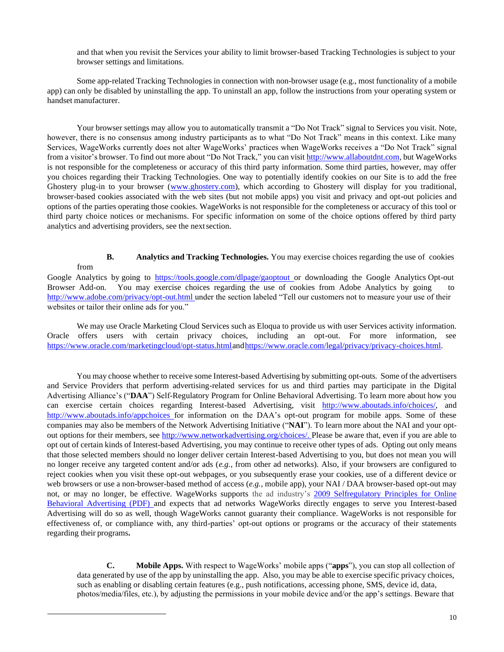and that when you revisit the Services your ability to limit browser-based Tracking Technologies is subject to your browser settings and limitations.

Some app-related Tracking Technologies in connection with non-browser usage (e.g., most functionality of a mobile app) can only be disabled by uninstalling the app. To uninstall an app, follow the instructions from your operating system or handset manufacturer.

Your browser settings may allow you to automatically transmit a "Do Not Track" signal to Services you visit. Note, however, there is no consensus among industry participants as to what "Do Not Track" means in this context. Like many Services, WageWorks currently does not alter WageWorks' practices when WageWorks receives a "Do Not Track" signal from a visitor's browser. To find out more about "Do Not Track," you can visit [http://www.allaboutdnt.com,](http://www.allaboutdnt.com/) but WageWorks is not responsible for the completeness or accuracy of this third party information. Some third parties, however, may offer you choices regarding their Tracking Technologies. One way to potentially identify cookies on our Site is to add the free Ghostery plug-in to your browser [\(www.ghostery.com\),](http://www.ghostery.com/) which according to Ghostery will display for you traditional, browser-based cookies associated with the web sites (but not mobile apps) you visit and privacy and opt-out policies and options of the parties operating those cookies. WageWorks is not responsible for the completeness or accuracy of this tool or third party choice notices or mechanisms. For specific information on some of the choice options offered by third party analytics and advertising providers, see the nextsection.

**B. Analytics and Tracking Technologies.** You may exercise choices regarding the use of cookies

from

Google Analytics by going to <https://tools.google.com/dlpage/gaoptout>or downloading the Google Analytics Opt-out Browser Add-on. You may exercise choices regarding the use of cookies from Adobe Analytics by going to [http://www.adobe.com/privacy/opt-out.html u](http://www.adobe.com/privacy/opt-out.html)nder the section labeled "Tell our customers not to measure your use of their websites or tailor their online ads for you."

We may use Oracle Marketing Cloud Services such as Eloqua to provide us with user Services activity information. Oracle offers users with certain privacy choices, including an opt-out. For more information, see https://www.oracle.com/marketingcloud/opt-status.html and https://www.oracle.com/legal/privacy/privacy-choices.html.

You may choose whether to receive some Interest-based Advertising by submitting opt-outs. Some of the advertisers and Service Providers that perform advertising-related services for us and third parties may participate in the Digital Advertising Alliance's ("**DAA**") Self-Regulatory Program for Online Behavioral Advertising. To learn more about how you can exercise certain choices regarding Interest-based Advertising, vi[sit](http://www.aboutads.info/choices/) [http://www.aboutads.info/choices/,](http://www.aboutads.info/choices/) and <http://www.aboutads.info/appchoices> for information on the DAA's opt-out program for mobile apps. Some of these companies may also be members of the Network Advertising Initiative ("**NAI**"). To learn more about the NAI and your optout options for their members, see [http://www.networkadvertising.org/choices/.](http://www.networkadvertising.org/choices/) Please be aware that, even if you are able to opt out of certain kinds of Interest-based Advertising, you may continue to receive other types of ads. Opting out only means that those selected members should no longer deliver certain Interest-based Advertising to you, but does not mean you will no longer receive any targeted content and/or ads (*e.g.*, from other ad networks). Also, if your browsers are configured to reject cookies when you visit these opt-out webpages, or you subsequently erase your cookies, use of a different device or web browsers or use a non-browser-based method of access (*e.g.*, mobile app), your NAI / DAA browser-based opt-out may not, or may no longer, be effective. WageWorks supports the ad industry's [2009 Selfregulatory Principles for Online](http://www.iab.net/media/file/ven-principles-07-01-09.pdf) [Behavioral Advertising \(PDF\)](http://www.iab.net/media/file/ven-principles-07-01-09.pdf) and expects that ad networks WageWorks directly engages to serve you Interest-based Advertising will do so as well, though WageWorks cannot guaranty their compliance. WageWorks is not responsible for effectiveness of, or compliance with, any third-parties' opt-out options or programs or the accuracy of their statements regarding their programs**.**

**C. Mobile Apps.** With respect to WageWorks' mobile apps ("**apps**"), you can stop all collection of data generated by use of the app by uninstalling the app. Also, you may be able to exercise specific privacy choices, such as enabling or disabling certain features (e.g., push notifications, accessing phone, SMS, device id, data, photos/media/files, etc.), by adjusting the permissions in your mobile device and/or the app's settings. Beware that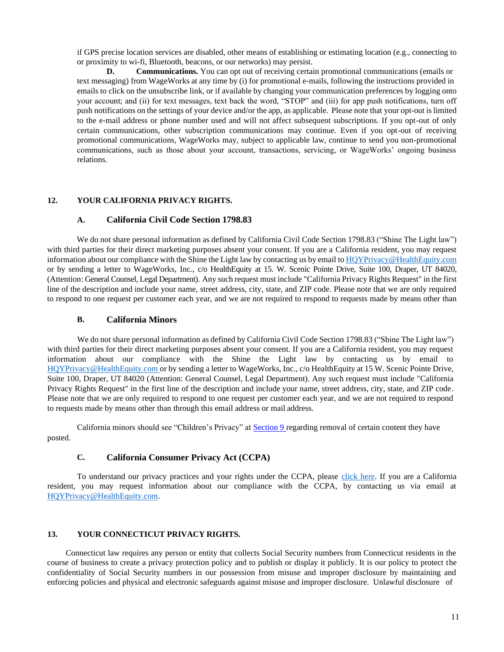if GPS precise location services are disabled, other means of establishing or estimating location (e.g., connecting to or proximity to wi-fi, Bluetooth, beacons, or our networks) may persist.

**D. Communications.** You can opt out of receiving certain promotional communications (emails or text messaging) from WageWorks at any time by (i) for promotional e-mails, following the instructions provided in emails to click on the unsubscribe link, or if available by changing your communication preferences by logging onto your account; and (ii) for text messages, text back the word, "STOP" and (iii) for app push notifications, turn off push notifications on the settings of your device and/or the app, as applicable. Please note that your opt-out is limited to the e-mail address or phone number used and will not affect subsequent subscriptions. If you opt-out of only certain communications, other subscription communications may continue. Even if you opt-out of receiving promotional communications, WageWorks may, subject to applicable law, continue to send you non-promotional communications, such as those about your account, transactions, servicing, or WageWorks' ongoing business relations.

## <span id="page-10-0"></span>**12. YOUR CALIFORNIA PRIVACY RIGHTS.**

## **A. California Civil Code Section 1798.83**

We do not share personal information as defined by California Civil Code Section 1798.83 ("Shine The Light law") with third parties for their direct marketing purposes absent your consent. If you are a California resident, you may request information about our compliance with the Shine the Light law by contacting us by email to [HQYPrivacy@HealthEquity.com](mailto:HQYPrivacy@healthequity.com) or by sending a letter to WageWorks, Inc., c/o HealthEquity at 15. W. Scenic Pointe Drive, Suite 100, Draper, UT 84020, (Attention: General Counsel, Legal Department). Any such request must include "California Privacy Rights Request" in the first line of the description and include your name, street address, city, state, and ZIP code. Please note that we are only required to respond to one request per customer each year, and we are not required to respond to requests made by means other than

## **B. California Minors**

We do not share personal information as defined by California Civil Code Section 1798.83 ("Shine The Light law") with third parties for their direct marketing purposes absent your consent. If you are a California resident, you may request information about our compliance with the Shine the Light law by contacting us by email to [HQYPrivacy@HealthEquity.com o](mailto:HQYPrivacy@healthequity.com)r by sending a letter to WageWorks, Inc., c/o HealthEquity at 15 W. Scenic Pointe Drive, Suite 100, Draper, UT 84020 (Attention: General Counsel, Legal Department). Any such request must include "California Privacy Rights Request" in the first line of the description and include your name, street address, city, state, and ZIP code. Please note that we are only required to respond to one request per customer each year, and we are not required to respond to requests made by means other than through this email address or mail address.

California minors should see "Children's Privacy" at Section 9 regarding removal of certain content they have posted.

# **C. California Consumer Privacy Act (CCPA)**

To understand our privacy practices and your rights under the CCPA, please [click here.](#page-12-0) If you are a California resident, you may request information about our compliance with the CCPA, by contacting us via email at [HQYPrivacy@HealthEquity.com.](mailto:HQYPrivacy@healthequity.com)

## <span id="page-10-1"></span>**13. YOUR CONNECTICUT PRIVACY RIGHTS.**

Connecticut law requires any person or entity that collects Social Security numbers from Connecticut residents in the course of business to create a privacy protection policy and to publish or display it publicly. It is our policy to protect the confidentiality of Social Security numbers in our possession from misuse and improper disclosure by maintaining and enforcing policies and physical and electronic safeguards against misuse and improper disclosure. Unlawful disclosure of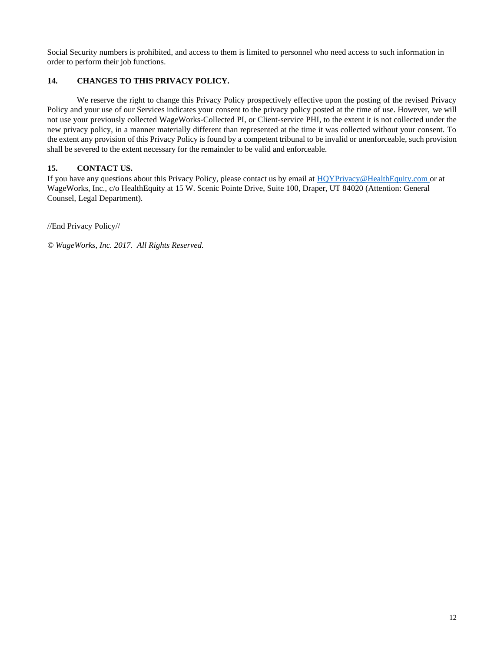Social Security numbers is prohibited, and access to them is limited to personnel who need access to such information in order to perform their job functions.

# <span id="page-11-0"></span>**14. CHANGES TO THIS PRIVACY POLICY.**

We reserve the right to change this Privacy Policy prospectively effective upon the posting of the revised Privacy Policy and your use of our Services indicates your consent to the privacy policy posted at the time of use. However, we will not use your previously collected WageWorks-Collected PI, or Client-service PHI, to the extent it is not collected under the new privacy policy, in a manner materially different than represented at the time it was collected without your consent. To the extent any provision of this Privacy Policy is found by a competent tribunal to be invalid or unenforceable, such provision shall be severed to the extent necessary for the remainder to be valid and enforceable.

# <span id="page-11-1"></span>**15. CONTACT US.**

If you have any questions about this Privacy Policy, please contact us by email at [HQYPrivacy@HealthEquity.com o](mailto:HQYPrivacy@healthequity.com)r at WageWorks, Inc., c/o HealthEquity at 15 W. Scenic Pointe Drive, Suite 100, Draper, UT 84020 (Attention: General Counsel, Legal Department).

//End Privacy Policy//

*© WageWorks, Inc. 2017. All Rights Reserved.*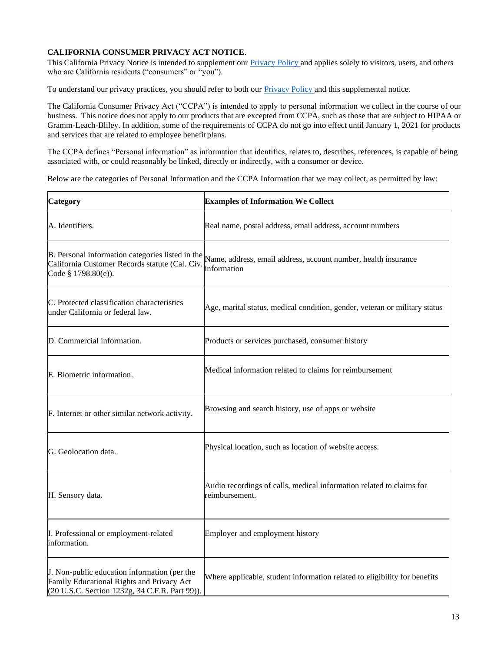# <span id="page-12-0"></span>**CALIFORNIA CONSUMER PRIVACY ACT NOTICE**.

This California Privacy Notice is intended to supplement our [Privacy Policy a](#page-0-0)nd applies solely to visitors, users, and others who are California residents ("consumers" or "you").

To understand our privacy practices, you should refer to both our **Privacy Policy** and this supplemental notice.

The California Consumer Privacy Act ("CCPA") is intended to apply to personal information we collect in the course of our business. This notice does not apply to our products that are excepted from CCPA, such as those that are subject to HIPAA or Gramm-Leach-Bliley. In addition, some of the requirements of CCPA do not go into effect until January 1, 2021 for products and services that are related to employee benefit plans.

The CCPA defines "Personal information" as information that identifies, relates to, describes, references, is capable of being associated with, or could reasonably be linked, directly or indirectly, with a consumer or device.

Below are the categories of Personal Information and the CCPA Information that we may collect, as permitted by law:

| <b>Category</b>                                                                                                                             | <b>Examples of Information We Collect</b>                                              |
|---------------------------------------------------------------------------------------------------------------------------------------------|----------------------------------------------------------------------------------------|
| A. Identifiers.                                                                                                                             | Real name, postal address, email address, account numbers                              |
| B. Personal information categories listed in the<br>California Customer Records statute (Cal. Civ.<br>Code § 1798.80(e)).                   | Name, address, email address, account number, health insurance<br>information          |
| C. Protected classification characteristics<br>under California or federal law.                                                             | Age, marital status, medical condition, gender, veteran or military status             |
| D. Commercial information.                                                                                                                  | Products or services purchased, consumer history                                       |
| E. Biometric information.                                                                                                                   | Medical information related to claims for reimbursement                                |
| F. Internet or other similar network activity.                                                                                              | Browsing and search history, use of apps or website                                    |
| G. Geolocation data.                                                                                                                        | Physical location, such as location of website access.                                 |
| H. Sensory data.                                                                                                                            | Audio recordings of calls, medical information related to claims for<br>reimbursement. |
| I. Professional or employment-related<br>linformation.                                                                                      | Employer and employment history                                                        |
| J. Non-public education information (per the<br>Family Educational Rights and Privacy Act<br>(20 U.S.C. Section 1232g, 34 C.F.R. Part 99)). | Where applicable, student information related to eligibility for benefits              |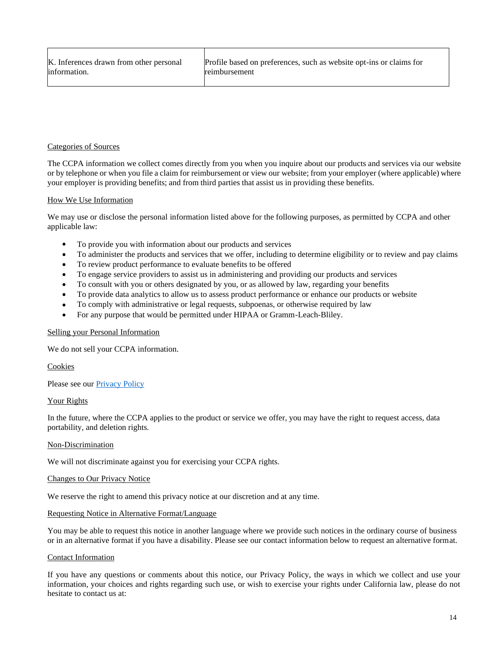# Categories of Sources

The CCPA information we collect comes directly from you when you inquire about our products and services via our website or by telephone or when you file a claim for reimbursement or view our website; from your employer (where applicable) where your employer is providing benefits; and from third parties that assist us in providing these benefits.

## How We Use Information

We may use or disclose the personal information listed above for the following purposes, as permitted by CCPA and other applicable law:

- To provide you with information about our products and services
- To administer the products and services that we offer, including to determine eligibility or to review and pay claims
- To review product performance to evaluate benefits to be offered
- To engage service providers to assist us in administering and providing our products and services
- To consult with you or others designated by you, or as allowed by law, regarding your benefits
- To provide data analytics to allow us to assess product performance or enhance our products or website
- To comply with administrative or legal requests, subpoenas, or otherwise required by law
- For any purpose that would be permitted under HIPAA or Gramm-Leach-Bliley.

## Selling your Personal Information

We do not sell your CCPA information.

Cookies

Please see our **Privacy Policy** 

## Your Rights

In the future, where the CCPA applies to the product or service we offer, you may have the right to request access, data portability, and deletion rights.

## Non-Discrimination

We will not discriminate against you for exercising your CCPA rights.

## Changes to Our Privacy Notice

We reserve the right to amend this privacy notice at our discretion and at any time.

## Requesting Notice in Alternative Format/Language

You may be able to request this notice in another language where we provide such notices in the ordinary course of business or in an alternative format if you have a disability. Please see our contact information below to request an alternative format.

## Contact Information

If you have any questions or comments about this notice, our Privacy Policy, the ways in which we collect and use your information, your choices and rights regarding such use, or wish to exercise your rights under California law, please do not hesitate to contact us at: